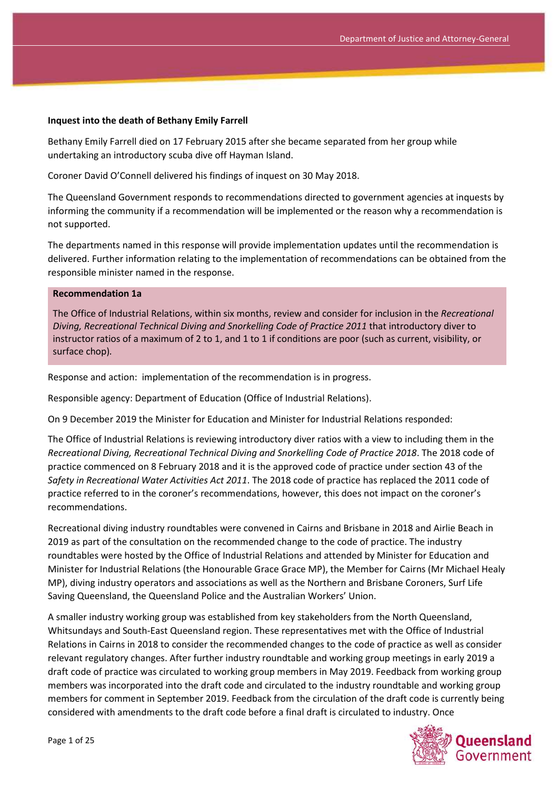#### **Inquest into the death of Bethany Emily Farrell**

Bethany Emily Farrell died on 17 February 2015 after she became separated from her group while undertaking an introductory scuba dive off Hayman Island.

Coroner David O'Connell delivered his findings of inquest on 30 May 2018.

The Queensland Government responds to recommendations directed to government agencies at inquests by informing the community if a recommendation will be implemented or the reason why a recommendation is not supported.

The departments named in this response will provide implementation updates until the recommendation is delivered. Further information relating to the implementation of recommendations can be obtained from the responsible minister named in the response.

#### **Recommendation 1a**

The Office of Industrial Relations, within six months, review and consider for inclusion in the *Recreational Diving, Recreational Technical Diving and Snorkelling Code of Practice 2011* that introductory diver to instructor ratios of a maximum of 2 to 1, and 1 to 1 if conditions are poor (such as current, visibility, or surface chop)*.*

Response and action: implementation of the recommendation is in progress.

Responsible agency: Department of Education (Office of Industrial Relations).

On 9 December 2019 the Minister for Education and Minister for Industrial Relations responded:

The Office of Industrial Relations is reviewing introductory diver ratios with a view to including them in the *Recreational Diving, Recreational Technical Diving and Snorkelling Code of Practice 2018*. The 2018 code of practice commenced on 8 February 2018 and it is the approved code of practice under section 43 of the *Safety in Recreational Water Activities Act 2011*. The 2018 code of practice has replaced the 2011 code of practice referred to in the coroner's recommendations, however, this does not impact on the coroner's recommendations.

Recreational diving industry roundtables were convened in Cairns and Brisbane in 2018 and Airlie Beach in 2019 as part of the consultation on the recommended change to the code of practice. The industry roundtables were hosted by the Office of Industrial Relations and attended by Minister for Education and Minister for Industrial Relations (the Honourable Grace Grace MP), the Member for Cairns (Mr Michael Healy MP), diving industry operators and associations as well as the Northern and Brisbane Coroners, Surf Life Saving Queensland, the Queensland Police and the Australian Workers' Union.

A smaller industry working group was established from key stakeholders from the North Queensland, Whitsundays and South-East Queensland region. These representatives met with the Office of Industrial Relations in Cairns in 2018 to consider the recommended changes to the code of practice as well as consider relevant regulatory changes. After further industry roundtable and working group meetings in early 2019 a draft code of practice was circulated to working group members in May 2019. Feedback from working group members was incorporated into the draft code and circulated to the industry roundtable and working group members for comment in September 2019. Feedback from the circulation of the draft code is currently being considered with amendments to the draft code before a final draft is circulated to industry. Once

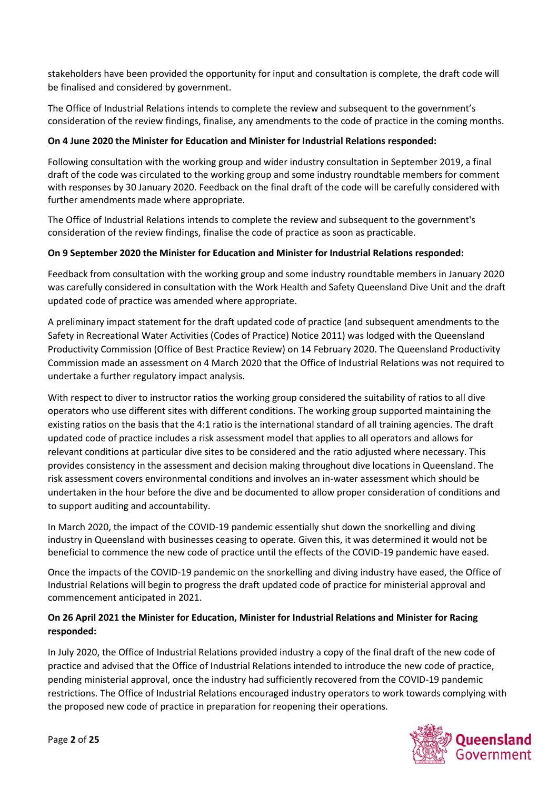stakeholders have been provided the opportunity for input and consultation is complete, the draft code will be finalised and considered by government.

The Office of Industrial Relations intends to complete the review and subsequent to the government's consideration of the review findings, finalise, any amendments to the code of practice in the coming months.

### **On 4 June 2020 the Minister for Education and Minister for Industrial Relations responded:**

Following consultation with the working group and wider industry consultation in September 2019, a final draft of the code was circulated to the working group and some industry roundtable members for comment with responses by 30 January 2020. Feedback on the final draft of the code will be carefully considered with further amendments made where appropriate.

The Office of Industrial Relations intends to complete the review and subsequent to the government's consideration of the review findings, finalise the code of practice as soon as practicable.

### **On 9 September 2020 the Minister for Education and Minister for Industrial Relations responded:**

Feedback from consultation with the working group and some industry roundtable members in January 2020 was carefully considered in consultation with the Work Health and Safety Queensland Dive Unit and the draft updated code of practice was amended where appropriate.

A preliminary impact statement for the draft updated code of practice (and subsequent amendments to the Safety in Recreational Water Activities (Codes of Practice) Notice 2011) was lodged with the Queensland Productivity Commission (Office of Best Practice Review) on 14 February 2020. The Queensland Productivity Commission made an assessment on 4 March 2020 that the Office of Industrial Relations was not required to undertake a further regulatory impact analysis.

With respect to diver to instructor ratios the working group considered the suitability of ratios to all dive operators who use different sites with different conditions. The working group supported maintaining the existing ratios on the basis that the 4:1 ratio is the international standard of all training agencies. The draft updated code of practice includes a risk assessment model that applies to all operators and allows for relevant conditions at particular dive sites to be considered and the ratio adjusted where necessary. This provides consistency in the assessment and decision making throughout dive locations in Queensland. The risk assessment covers environmental conditions and involves an in-water assessment which should be undertaken in the hour before the dive and be documented to allow proper consideration of conditions and to support auditing and accountability.

In March 2020, the impact of the COVID-19 pandemic essentially shut down the snorkelling and diving industry in Queensland with businesses ceasing to operate. Given this, it was determined it would not be beneficial to commence the new code of practice until the effects of the COVID-19 pandemic have eased.

Once the impacts of the COVID-19 pandemic on the snorkelling and diving industry have eased, the Office of Industrial Relations will begin to progress the draft updated code of practice for ministerial approval and commencement anticipated in 2021.

## **On 26 April 2021 the Minister for Education, Minister for Industrial Relations and Minister for Racing responded:**

In July 2020, the Office of Industrial Relations provided industry a copy of the final draft of the new code of practice and advised that the Office of Industrial Relations intended to introduce the new code of practice, pending ministerial approval, once the industry had sufficiently recovered from the COVID-19 pandemic restrictions. The Office of Industrial Relations encouraged industry operators to work towards complying with the proposed new code of practice in preparation for reopening their operations.

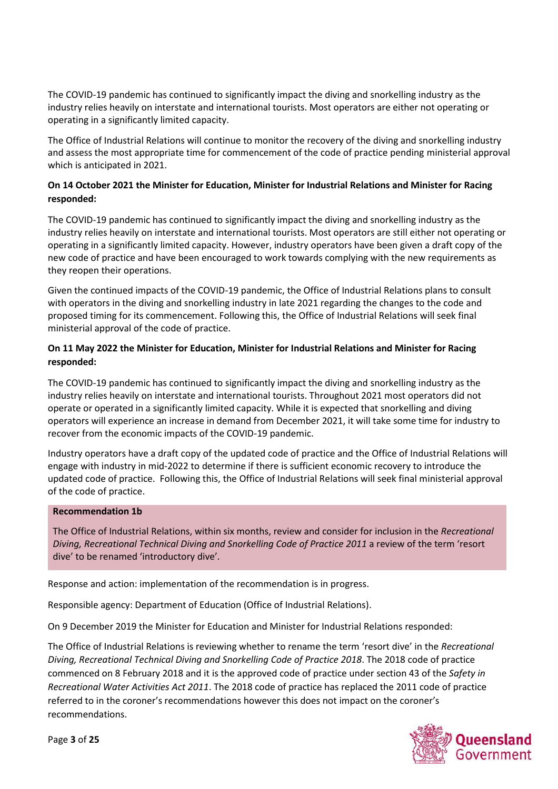The COVID-19 pandemic has continued to significantly impact the diving and snorkelling industry as the industry relies heavily on interstate and international tourists. Most operators are either not operating or operating in a significantly limited capacity.

The Office of Industrial Relations will continue to monitor the recovery of the diving and snorkelling industry and assess the most appropriate time for commencement of the code of practice pending ministerial approval which is anticipated in 2021.

## **On 14 October 2021 the Minister for Education, Minister for Industrial Relations and Minister for Racing responded:**

The COVID-19 pandemic has continued to significantly impact the diving and snorkelling industry as the industry relies heavily on interstate and international tourists. Most operators are still either not operating or operating in a significantly limited capacity. However, industry operators have been given a draft copy of the new code of practice and have been encouraged to work towards complying with the new requirements as they reopen their operations.

Given the continued impacts of the COVID-19 pandemic, the Office of Industrial Relations plans to consult with operators in the diving and snorkelling industry in late 2021 regarding the changes to the code and proposed timing for its commencement. Following this, the Office of Industrial Relations will seek final ministerial approval of the code of practice.

## **On 11 May 2022 the Minister for Education, Minister for Industrial Relations and Minister for Racing responded:**

The COVID-19 pandemic has continued to significantly impact the diving and snorkelling industry as the industry relies heavily on interstate and international tourists. Throughout 2021 most operators did not operate or operated in a significantly limited capacity. While it is expected that snorkelling and diving operators will experience an increase in demand from December 2021, it will take some time for industry to recover from the economic impacts of the COVID-19 pandemic.

Industry operators have a draft copy of the updated code of practice and the Office of Industrial Relations will engage with industry in mid-2022 to determine if there is sufficient economic recovery to introduce the updated code of practice. Following this, the Office of Industrial Relations will seek final ministerial approval of the code of practice.

### **Recommendation 1b**

The Office of Industrial Relations, within six months, review and consider for inclusion in the *Recreational Diving, Recreational Technical Diving and Snorkelling Code of Practice 2011* a review of the term 'resort dive' to be renamed 'introductory dive'*.*

Response and action: implementation of the recommendation is in progress.

Responsible agency: Department of Education (Office of Industrial Relations).

On 9 December 2019 the Minister for Education and Minister for Industrial Relations responded:

The Office of Industrial Relations is reviewing whether to rename the term 'resort dive' in the *Recreational Diving, Recreational Technical Diving and Snorkelling Code of Practice 2018*. The 2018 code of practice commenced on 8 February 2018 and it is the approved code of practice under section 43 of the *Safety in Recreational Water Activities Act 2011*. The 2018 code of practice has replaced the 2011 code of practice referred to in the coroner's recommendations however this does not impact on the coroner's recommendations.

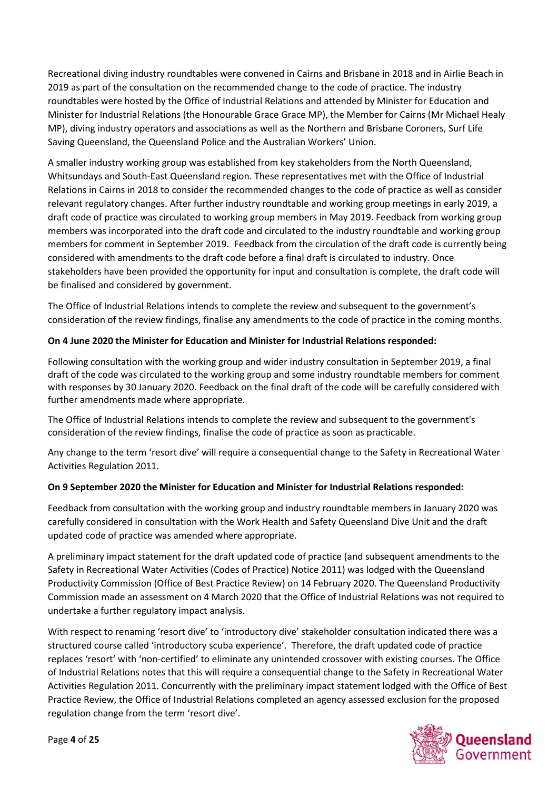Recreational diving industry roundtables were convened in Cairns and Brisbane in 2018 and in Airlie Beach in 2019 as part of the consultation on the recommended change to the code of practice. The industry roundtables were hosted by the Office of Industrial Relations and attended by Minister for Education and Minister for Industrial Relations (the Honourable Grace Grace MP), the Member for Cairns (Mr Michael Healy MP), diving industry operators and associations as well as the Northern and Brisbane Coroners, Surf Life Saving Queensland, the Queensland Police and the Australian Workers' Union.

A smaller industry working group was established from key stakeholders from the North Queensland, Whitsundays and South-East Queensland region. These representatives met with the Office of Industrial Relations in Cairns in 2018 to consider the recommended changes to the code of practice as well as consider relevant regulatory changes. After further industry roundtable and working group meetings in early 2019, a draft code of practice was circulated to working group members in May 2019. Feedback from working group members was incorporated into the draft code and circulated to the industry roundtable and working group members for comment in September 2019. Feedback from the circulation of the draft code is currently being considered with amendments to the draft code before a final draft is circulated to industry. Once stakeholders have been provided the opportunity for input and consultation is complete, the draft code will be finalised and considered by government.

The Office of Industrial Relations intends to complete the review and subsequent to the government's consideration of the review findings, finalise any amendments to the code of practice in the coming months.

## **On 4 June 2020 the Minister for Education and Minister for Industrial Relations responded:**

Following consultation with the working group and wider industry consultation in September 2019, a final draft of the code was circulated to the working group and some industry roundtable members for comment with responses by 30 January 2020. Feedback on the final draft of the code will be carefully considered with further amendments made where appropriate.

The Office of Industrial Relations intends to complete the review and subsequent to the government's consideration of the review findings, finalise the code of practice as soon as practicable.

Any change to the term 'resort dive' will require a consequential change to the Safety in Recreational Water Activities Regulation 2011.

### **On 9 September 2020 the Minister for Education and Minister for Industrial Relations responded:**

Feedback from consultation with the working group and industry roundtable members in January 2020 was carefully considered in consultation with the Work Health and Safety Queensland Dive Unit and the draft updated code of practice was amended where appropriate.

A preliminary impact statement for the draft updated code of practice (and subsequent amendments to the Safety in Recreational Water Activities (Codes of Practice) Notice 2011) was lodged with the Queensland Productivity Commission (Office of Best Practice Review) on 14 February 2020. The Queensland Productivity Commission made an assessment on 4 March 2020 that the Office of Industrial Relations was not required to undertake a further regulatory impact analysis.

With respect to renaming 'resort dive' to 'introductory dive' stakeholder consultation indicated there was a structured course called 'introductory scuba experience'. Therefore, the draft updated code of practice replaces 'resort' with 'non-certified' to eliminate any unintended crossover with existing courses. The Office of Industrial Relations notes that this will require a consequential change to the Safety in Recreational Water Activities Regulation 2011. Concurrently with the preliminary impact statement lodged with the Office of Best Practice Review, the Office of Industrial Relations completed an agency assessed exclusion for the proposed regulation change from the term 'resort dive'.

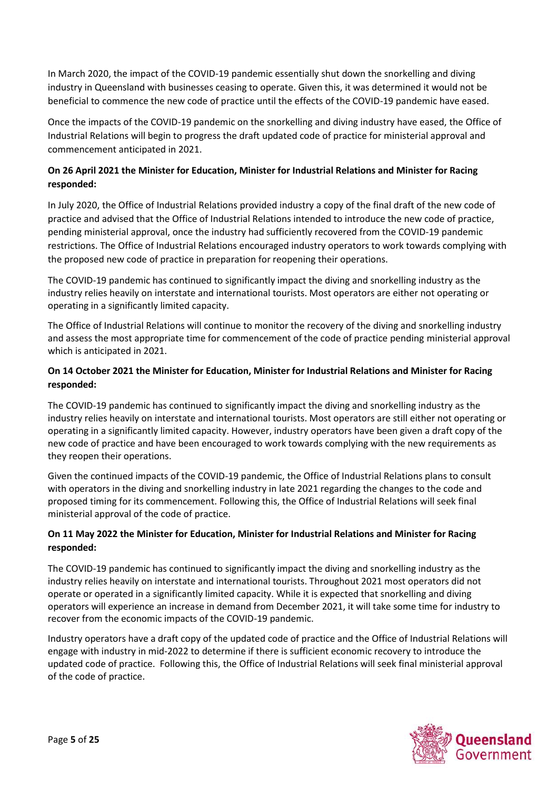In March 2020, the impact of the COVID-19 pandemic essentially shut down the snorkelling and diving industry in Queensland with businesses ceasing to operate. Given this, it was determined it would not be beneficial to commence the new code of practice until the effects of the COVID-19 pandemic have eased.

Once the impacts of the COVID-19 pandemic on the snorkelling and diving industry have eased, the Office of Industrial Relations will begin to progress the draft updated code of practice for ministerial approval and commencement anticipated in 2021.

# **On 26 April 2021 the Minister for Education, Minister for Industrial Relations and Minister for Racing responded:**

In July 2020, the Office of Industrial Relations provided industry a copy of the final draft of the new code of practice and advised that the Office of Industrial Relations intended to introduce the new code of practice, pending ministerial approval, once the industry had sufficiently recovered from the COVID-19 pandemic restrictions. The Office of Industrial Relations encouraged industry operators to work towards complying with the proposed new code of practice in preparation for reopening their operations.

The COVID-19 pandemic has continued to significantly impact the diving and snorkelling industry as the industry relies heavily on interstate and international tourists. Most operators are either not operating or operating in a significantly limited capacity.

The Office of Industrial Relations will continue to monitor the recovery of the diving and snorkelling industry and assess the most appropriate time for commencement of the code of practice pending ministerial approval which is anticipated in 2021.

## **On 14 October 2021 the Minister for Education, Minister for Industrial Relations and Minister for Racing responded:**

The COVID-19 pandemic has continued to significantly impact the diving and snorkelling industry as the industry relies heavily on interstate and international tourists. Most operators are still either not operating or operating in a significantly limited capacity. However, industry operators have been given a draft copy of the new code of practice and have been encouraged to work towards complying with the new requirements as they reopen their operations.

Given the continued impacts of the COVID-19 pandemic, the Office of Industrial Relations plans to consult with operators in the diving and snorkelling industry in late 2021 regarding the changes to the code and proposed timing for its commencement. Following this, the Office of Industrial Relations will seek final ministerial approval of the code of practice.

### **On 11 May 2022 the Minister for Education, Minister for Industrial Relations and Minister for Racing responded:**

The COVID-19 pandemic has continued to significantly impact the diving and snorkelling industry as the industry relies heavily on interstate and international tourists. Throughout 2021 most operators did not operate or operated in a significantly limited capacity. While it is expected that snorkelling and diving operators will experience an increase in demand from December 2021, it will take some time for industry to recover from the economic impacts of the COVID-19 pandemic.

Industry operators have a draft copy of the updated code of practice and the Office of Industrial Relations will engage with industry in mid-2022 to determine if there is sufficient economic recovery to introduce the updated code of practice. Following this, the Office of Industrial Relations will seek final ministerial approval of the code of practice.

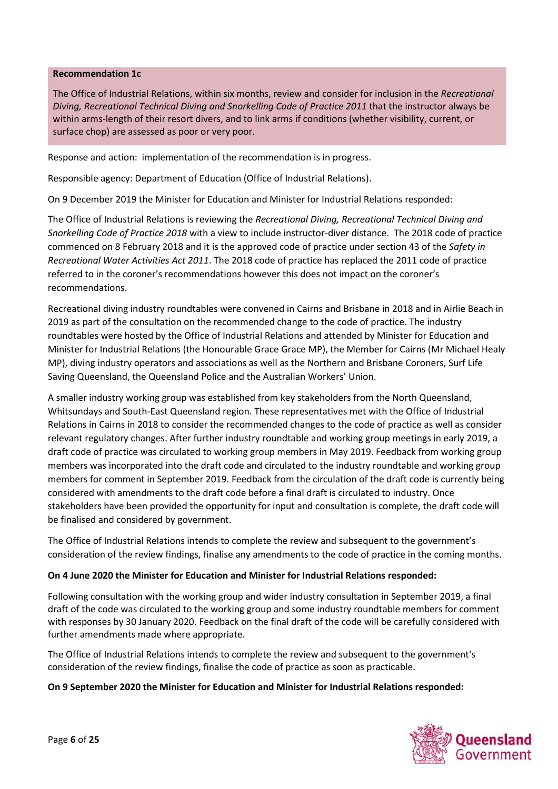#### **Recommendation 1c**

The Office of Industrial Relations, within six months, review and consider for inclusion in the *Recreational Diving, Recreational Technical Diving and Snorkelling Code of Practice 2011* that the instructor always be within arms-length of their resort divers, and to link arms if conditions (whether visibility, current, or surface chop) are assessed as poor or very poor.

Response and action: implementation of the recommendation is in progress.

Responsible agency: Department of Education (Office of Industrial Relations).

On 9 December 2019 the Minister for Education and Minister for Industrial Relations responded:

The Office of Industrial Relations is reviewing the *Recreational Diving, Recreational Technical Diving and Snorkelling Code of Practice 2018* with a view to include instructor-diver distance. The 2018 code of practice commenced on 8 February 2018 and it is the approved code of practice under section 43 of the *Safety in Recreational Water Activities Act 2011*. The 2018 code of practice has replaced the 2011 code of practice referred to in the coroner's recommendations however this does not impact on the coroner's recommendations.

Recreational diving industry roundtables were convened in Cairns and Brisbane in 2018 and in Airlie Beach in 2019 as part of the consultation on the recommended change to the code of practice. The industry roundtables were hosted by the Office of Industrial Relations and attended by Minister for Education and Minister for Industrial Relations (the Honourable Grace Grace MP), the Member for Cairns (Mr Michael Healy MP), diving industry operators and associations as well as the Northern and Brisbane Coroners, Surf Life Saving Queensland, the Queensland Police and the Australian Workers' Union.

A smaller industry working group was established from key stakeholders from the North Queensland, Whitsundays and South-East Queensland region. These representatives met with the Office of Industrial Relations in Cairns in 2018 to consider the recommended changes to the code of practice as well as consider relevant regulatory changes. After further industry roundtable and working group meetings in early 2019, a draft code of practice was circulated to working group members in May 2019. Feedback from working group members was incorporated into the draft code and circulated to the industry roundtable and working group members for comment in September 2019. Feedback from the circulation of the draft code is currently being considered with amendments to the draft code before a final draft is circulated to industry. Once stakeholders have been provided the opportunity for input and consultation is complete, the draft code will be finalised and considered by government.

The Office of Industrial Relations intends to complete the review and subsequent to the government's consideration of the review findings, finalise any amendments to the code of practice in the coming months.

#### **On 4 June 2020 the Minister for Education and Minister for Industrial Relations responded:**

Following consultation with the working group and wider industry consultation in September 2019, a final draft of the code was circulated to the working group and some industry roundtable members for comment with responses by 30 January 2020. Feedback on the final draft of the code will be carefully considered with further amendments made where appropriate.

The Office of Industrial Relations intends to complete the review and subsequent to the government's consideration of the review findings, finalise the code of practice as soon as practicable.

#### **On 9 September 2020 the Minister for Education and Minister for Industrial Relations responded:**

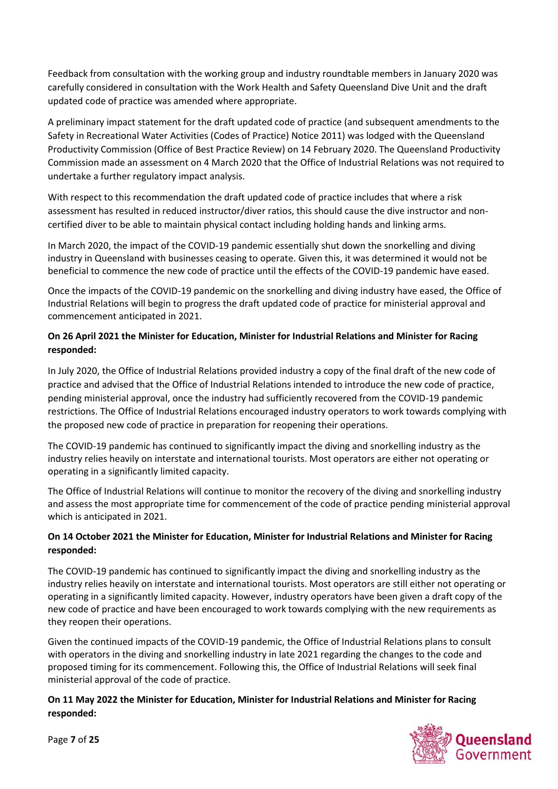Feedback from consultation with the working group and industry roundtable members in January 2020 was carefully considered in consultation with the Work Health and Safety Queensland Dive Unit and the draft updated code of practice was amended where appropriate.

A preliminary impact statement for the draft updated code of practice (and subsequent amendments to the Safety in Recreational Water Activities (Codes of Practice) Notice 2011) was lodged with the Queensland Productivity Commission (Office of Best Practice Review) on 14 February 2020. The Queensland Productivity Commission made an assessment on 4 March 2020 that the Office of Industrial Relations was not required to undertake a further regulatory impact analysis.

With respect to this recommendation the draft updated code of practice includes that where a risk assessment has resulted in reduced instructor/diver ratios, this should cause the dive instructor and noncertified diver to be able to maintain physical contact including holding hands and linking arms.

In March 2020, the impact of the COVID-19 pandemic essentially shut down the snorkelling and diving industry in Queensland with businesses ceasing to operate. Given this, it was determined it would not be beneficial to commence the new code of practice until the effects of the COVID-19 pandemic have eased.

Once the impacts of the COVID-19 pandemic on the snorkelling and diving industry have eased, the Office of Industrial Relations will begin to progress the draft updated code of practice for ministerial approval and commencement anticipated in 2021.

# **On 26 April 2021 the Minister for Education, Minister for Industrial Relations and Minister for Racing responded:**

In July 2020, the Office of Industrial Relations provided industry a copy of the final draft of the new code of practice and advised that the Office of Industrial Relations intended to introduce the new code of practice, pending ministerial approval, once the industry had sufficiently recovered from the COVID-19 pandemic restrictions. The Office of Industrial Relations encouraged industry operators to work towards complying with the proposed new code of practice in preparation for reopening their operations.

The COVID-19 pandemic has continued to significantly impact the diving and snorkelling industry as the industry relies heavily on interstate and international tourists. Most operators are either not operating or operating in a significantly limited capacity.

The Office of Industrial Relations will continue to monitor the recovery of the diving and snorkelling industry and assess the most appropriate time for commencement of the code of practice pending ministerial approval which is anticipated in 2021.

## **On 14 October 2021 the Minister for Education, Minister for Industrial Relations and Minister for Racing responded:**

The COVID-19 pandemic has continued to significantly impact the diving and snorkelling industry as the industry relies heavily on interstate and international tourists. Most operators are still either not operating or operating in a significantly limited capacity. However, industry operators have been given a draft copy of the new code of practice and have been encouraged to work towards complying with the new requirements as they reopen their operations.

Given the continued impacts of the COVID-19 pandemic, the Office of Industrial Relations plans to consult with operators in the diving and snorkelling industry in late 2021 regarding the changes to the code and proposed timing for its commencement. Following this, the Office of Industrial Relations will seek final ministerial approval of the code of practice.

## **On 11 May 2022 the Minister for Education, Minister for Industrial Relations and Minister for Racing responded:**



Page **7** of **25**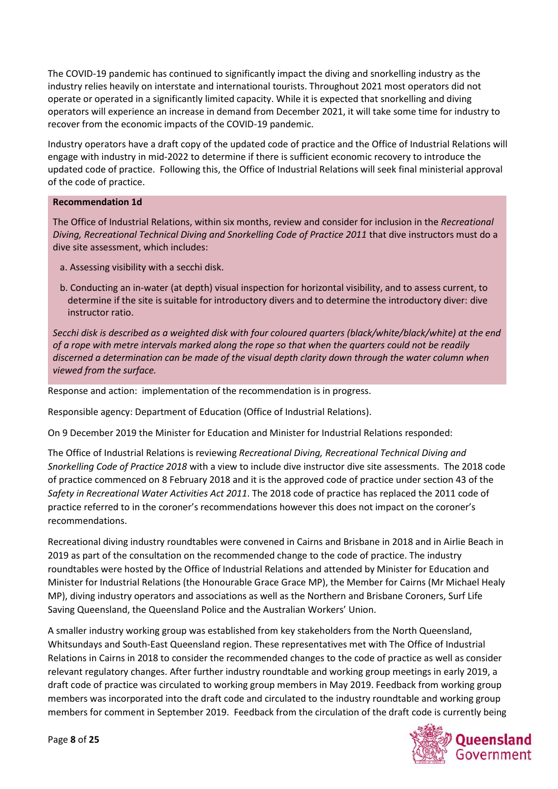The COVID-19 pandemic has continued to significantly impact the diving and snorkelling industry as the industry relies heavily on interstate and international tourists. Throughout 2021 most operators did not operate or operated in a significantly limited capacity. While it is expected that snorkelling and diving operators will experience an increase in demand from December 2021, it will take some time for industry to recover from the economic impacts of the COVID-19 pandemic.

Industry operators have a draft copy of the updated code of practice and the Office of Industrial Relations will engage with industry in mid-2022 to determine if there is sufficient economic recovery to introduce the updated code of practice. Following this, the Office of Industrial Relations will seek final ministerial approval of the code of practice.

#### **Recommendation 1d**

The Office of Industrial Relations, within six months, review and consider for inclusion in the *Recreational Diving, Recreational Technical Diving and Snorkelling Code of Practice 2011* that dive instructors must do a dive site assessment, which includes:

- a. Assessing visibility with a secchi disk.
- b. Conducting an in-water (at depth) visual inspection for horizontal visibility, and to assess current, to determine if the site is suitable for introductory divers and to determine the introductory diver: dive instructor ratio.

*Secchi disk is described as a weighted disk with four coloured quarters (black/white/black/white) at the end of a rope with metre intervals marked along the rope so that when the quarters could not be readily discerned a determination can be made of the visual depth clarity down through the water column when viewed from the surface.*

Response and action: implementation of the recommendation is in progress.

Responsible agency: Department of Education (Office of Industrial Relations).

On 9 December 2019 the Minister for Education and Minister for Industrial Relations responded:

The Office of Industrial Relations is reviewing *Recreational Diving, Recreational Technical Diving and Snorkelling Code of Practice 2018* with a view to include dive instructor dive site assessments. The 2018 code of practice commenced on 8 February 2018 and it is the approved code of practice under section 43 of the *Safety in Recreational Water Activities Act 2011*. The 2018 code of practice has replaced the 2011 code of practice referred to in the coroner's recommendations however this does not impact on the coroner's recommendations.

Recreational diving industry roundtables were convened in Cairns and Brisbane in 2018 and in Airlie Beach in 2019 as part of the consultation on the recommended change to the code of practice. The industry roundtables were hosted by the Office of Industrial Relations and attended by Minister for Education and Minister for Industrial Relations (the Honourable Grace Grace MP), the Member for Cairns (Mr Michael Healy MP), diving industry operators and associations as well as the Northern and Brisbane Coroners, Surf Life Saving Queensland, the Queensland Police and the Australian Workers' Union.

A smaller industry working group was established from key stakeholders from the North Queensland, Whitsundays and South-East Queensland region. These representatives met with The Office of Industrial Relations in Cairns in 2018 to consider the recommended changes to the code of practice as well as consider relevant regulatory changes. After further industry roundtable and working group meetings in early 2019, a draft code of practice was circulated to working group members in May 2019. Feedback from working group members was incorporated into the draft code and circulated to the industry roundtable and working group members for comment in September 2019. Feedback from the circulation of the draft code is currently being

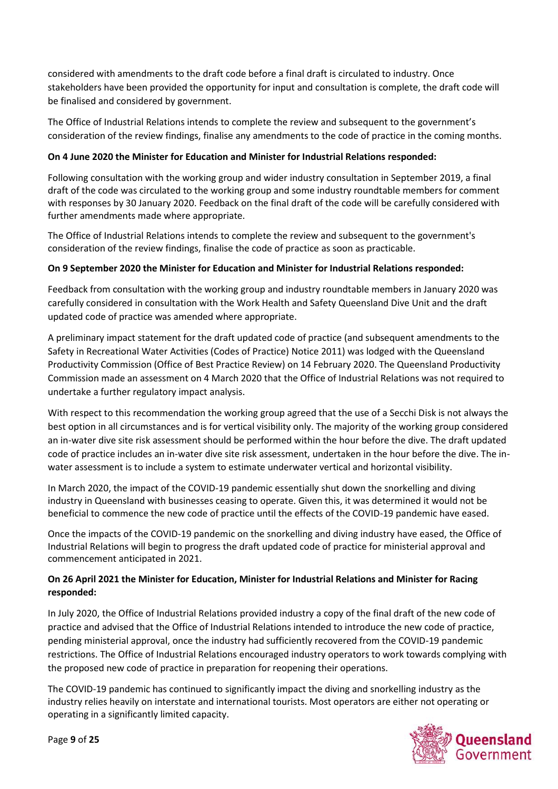considered with amendments to the draft code before a final draft is circulated to industry. Once stakeholders have been provided the opportunity for input and consultation is complete, the draft code will be finalised and considered by government.

The Office of Industrial Relations intends to complete the review and subsequent to the government's consideration of the review findings, finalise any amendments to the code of practice in the coming months.

## **On 4 June 2020 the Minister for Education and Minister for Industrial Relations responded:**

Following consultation with the working group and wider industry consultation in September 2019, a final draft of the code was circulated to the working group and some industry roundtable members for comment with responses by 30 January 2020. Feedback on the final draft of the code will be carefully considered with further amendments made where appropriate.

The Office of Industrial Relations intends to complete the review and subsequent to the government's consideration of the review findings, finalise the code of practice as soon as practicable.

### **On 9 September 2020 the Minister for Education and Minister for Industrial Relations responded:**

Feedback from consultation with the working group and industry roundtable members in January 2020 was carefully considered in consultation with the Work Health and Safety Queensland Dive Unit and the draft updated code of practice was amended where appropriate.

A preliminary impact statement for the draft updated code of practice (and subsequent amendments to the Safety in Recreational Water Activities (Codes of Practice) Notice 2011) was lodged with the Queensland Productivity Commission (Office of Best Practice Review) on 14 February 2020. The Queensland Productivity Commission made an assessment on 4 March 2020 that the Office of Industrial Relations was not required to undertake a further regulatory impact analysis.

With respect to this recommendation the working group agreed that the use of a Secchi Disk is not always the best option in all circumstances and is for vertical visibility only. The majority of the working group considered an in-water dive site risk assessment should be performed within the hour before the dive. The draft updated code of practice includes an in-water dive site risk assessment, undertaken in the hour before the dive. The inwater assessment is to include a system to estimate underwater vertical and horizontal visibility.

In March 2020, the impact of the COVID-19 pandemic essentially shut down the snorkelling and diving industry in Queensland with businesses ceasing to operate. Given this, it was determined it would not be beneficial to commence the new code of practice until the effects of the COVID-19 pandemic have eased.

Once the impacts of the COVID-19 pandemic on the snorkelling and diving industry have eased, the Office of Industrial Relations will begin to progress the draft updated code of practice for ministerial approval and commencement anticipated in 2021.

## **On 26 April 2021 the Minister for Education, Minister for Industrial Relations and Minister for Racing responded:**

In July 2020, the Office of Industrial Relations provided industry a copy of the final draft of the new code of practice and advised that the Office of Industrial Relations intended to introduce the new code of practice, pending ministerial approval, once the industry had sufficiently recovered from the COVID-19 pandemic restrictions. The Office of Industrial Relations encouraged industry operators to work towards complying with the proposed new code of practice in preparation for reopening their operations.

The COVID-19 pandemic has continued to significantly impact the diving and snorkelling industry as the industry relies heavily on interstate and international tourists. Most operators are either not operating or operating in a significantly limited capacity.

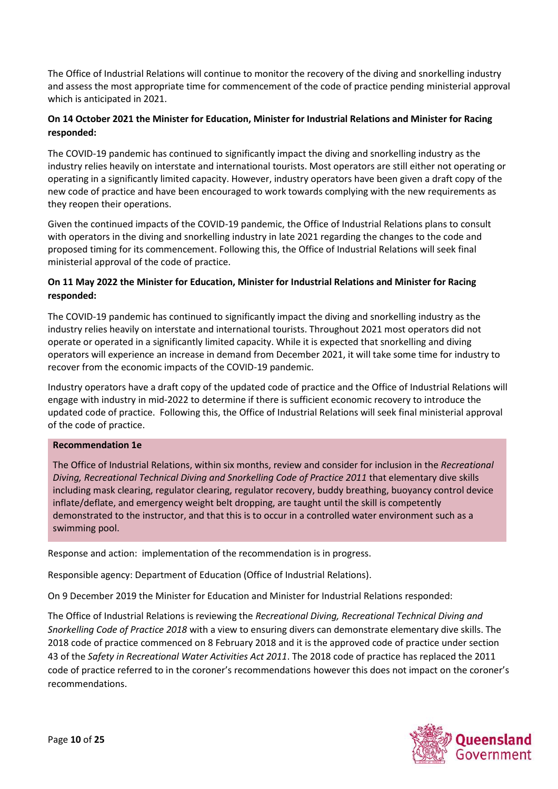The Office of Industrial Relations will continue to monitor the recovery of the diving and snorkelling industry and assess the most appropriate time for commencement of the code of practice pending ministerial approval which is anticipated in 2021.

## **On 14 October 2021 the Minister for Education, Minister for Industrial Relations and Minister for Racing responded:**

The COVID-19 pandemic has continued to significantly impact the diving and snorkelling industry as the industry relies heavily on interstate and international tourists. Most operators are still either not operating or operating in a significantly limited capacity. However, industry operators have been given a draft copy of the new code of practice and have been encouraged to work towards complying with the new requirements as they reopen their operations.

Given the continued impacts of the COVID-19 pandemic, the Office of Industrial Relations plans to consult with operators in the diving and snorkelling industry in late 2021 regarding the changes to the code and proposed timing for its commencement. Following this, the Office of Industrial Relations will seek final ministerial approval of the code of practice.

## **On 11 May 2022 the Minister for Education, Minister for Industrial Relations and Minister for Racing responded:**

The COVID-19 pandemic has continued to significantly impact the diving and snorkelling industry as the industry relies heavily on interstate and international tourists. Throughout 2021 most operators did not operate or operated in a significantly limited capacity. While it is expected that snorkelling and diving operators will experience an increase in demand from December 2021, it will take some time for industry to recover from the economic impacts of the COVID-19 pandemic.

Industry operators have a draft copy of the updated code of practice and the Office of Industrial Relations will engage with industry in mid-2022 to determine if there is sufficient economic recovery to introduce the updated code of practice. Following this, the Office of Industrial Relations will seek final ministerial approval of the code of practice.

#### **Recommendation 1e**

The Office of Industrial Relations, within six months, review and consider for inclusion in the *Recreational Diving, Recreational Technical Diving and Snorkelling Code of Practice 2011* that elementary dive skills including mask clearing, regulator clearing, regulator recovery, buddy breathing, buoyancy control device inflate/deflate, and emergency weight belt dropping, are taught until the skill is competently demonstrated to the instructor, and that this is to occur in a controlled water environment such as a swimming pool.

Response and action: implementation of the recommendation is in progress.

Responsible agency: Department of Education (Office of Industrial Relations).

On 9 December 2019 the Minister for Education and Minister for Industrial Relations responded:

The Office of Industrial Relations is reviewing the *Recreational Diving, Recreational Technical Diving and Snorkelling Code of Practice 2018* with a view to ensuring divers can demonstrate elementary dive skills. The 2018 code of practice commenced on 8 February 2018 and it is the approved code of practice under section 43 of the *Safety in Recreational Water Activities Act 2011*. The 2018 code of practice has replaced the 2011 code of practice referred to in the coroner's recommendations however this does not impact on the coroner's recommendations.

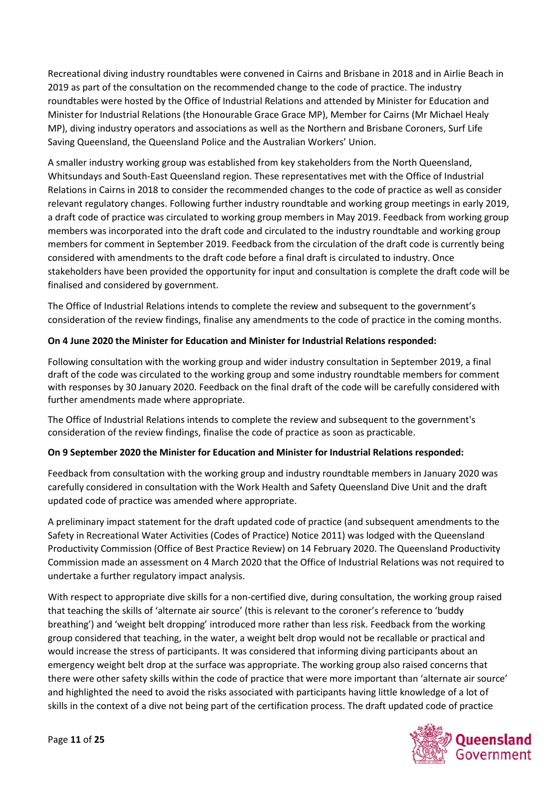Recreational diving industry roundtables were convened in Cairns and Brisbane in 2018 and in Airlie Beach in 2019 as part of the consultation on the recommended change to the code of practice. The industry roundtables were hosted by the Office of Industrial Relations and attended by Minister for Education and Minister for Industrial Relations (the Honourable Grace Grace MP), Member for Cairns (Mr Michael Healy MP), diving industry operators and associations as well as the Northern and Brisbane Coroners, Surf Life Saving Queensland, the Queensland Police and the Australian Workers' Union.

A smaller industry working group was established from key stakeholders from the North Queensland, Whitsundays and South-East Queensland region. These representatives met with the Office of Industrial Relations in Cairns in 2018 to consider the recommended changes to the code of practice as well as consider relevant regulatory changes. Following further industry roundtable and working group meetings in early 2019, a draft code of practice was circulated to working group members in May 2019. Feedback from working group members was incorporated into the draft code and circulated to the industry roundtable and working group members for comment in September 2019. Feedback from the circulation of the draft code is currently being considered with amendments to the draft code before a final draft is circulated to industry. Once stakeholders have been provided the opportunity for input and consultation is complete the draft code will be finalised and considered by government.

The Office of Industrial Relations intends to complete the review and subsequent to the government's consideration of the review findings, finalise any amendments to the code of practice in the coming months.

## **On 4 June 2020 the Minister for Education and Minister for Industrial Relations responded:**

Following consultation with the working group and wider industry consultation in September 2019, a final draft of the code was circulated to the working group and some industry roundtable members for comment with responses by 30 January 2020. Feedback on the final draft of the code will be carefully considered with further amendments made where appropriate.

The Office of Industrial Relations intends to complete the review and subsequent to the government's consideration of the review findings, finalise the code of practice as soon as practicable.

### **On 9 September 2020 the Minister for Education and Minister for Industrial Relations responded:**

Feedback from consultation with the working group and industry roundtable members in January 2020 was carefully considered in consultation with the Work Health and Safety Queensland Dive Unit and the draft updated code of practice was amended where appropriate.

A preliminary impact statement for the draft updated code of practice (and subsequent amendments to the Safety in Recreational Water Activities (Codes of Practice) Notice 2011) was lodged with the Queensland Productivity Commission (Office of Best Practice Review) on 14 February 2020. The Queensland Productivity Commission made an assessment on 4 March 2020 that the Office of Industrial Relations was not required to undertake a further regulatory impact analysis.

With respect to appropriate dive skills for a non-certified dive, during consultation, the working group raised that teaching the skills of 'alternate air source' (this is relevant to the coroner's reference to 'buddy breathing') and 'weight belt dropping' introduced more rather than less risk. Feedback from the working group considered that teaching, in the water, a weight belt drop would not be recallable or practical and would increase the stress of participants. It was considered that informing diving participants about an emergency weight belt drop at the surface was appropriate. The working group also raised concerns that there were other safety skills within the code of practice that were more important than 'alternate air source' and highlighted the need to avoid the risks associated with participants having little knowledge of a lot of skills in the context of a dive not being part of the certification process. The draft updated code of practice

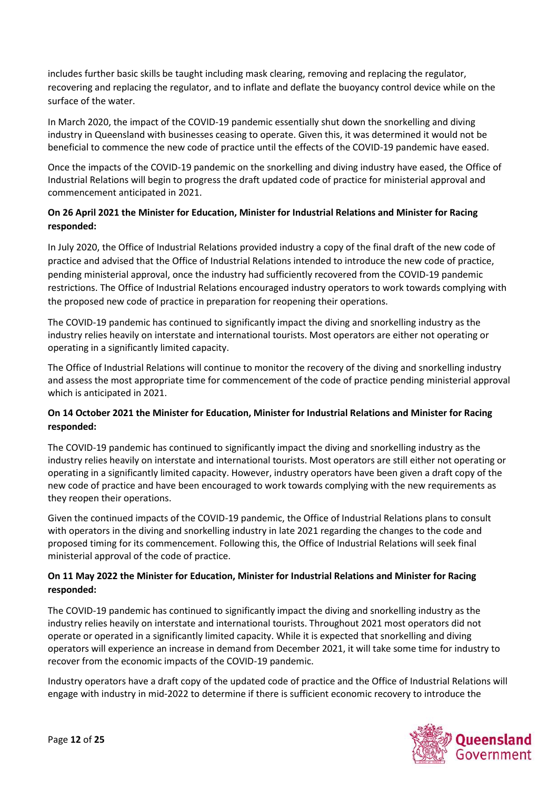includes further basic skills be taught including mask clearing, removing and replacing the regulator, recovering and replacing the regulator, and to inflate and deflate the buoyancy control device while on the surface of the water.

In March 2020, the impact of the COVID-19 pandemic essentially shut down the snorkelling and diving industry in Queensland with businesses ceasing to operate. Given this, it was determined it would not be beneficial to commence the new code of practice until the effects of the COVID-19 pandemic have eased.

Once the impacts of the COVID-19 pandemic on the snorkelling and diving industry have eased, the Office of Industrial Relations will begin to progress the draft updated code of practice for ministerial approval and commencement anticipated in 2021.

# **On 26 April 2021 the Minister for Education, Minister for Industrial Relations and Minister for Racing responded:**

In July 2020, the Office of Industrial Relations provided industry a copy of the final draft of the new code of practice and advised that the Office of Industrial Relations intended to introduce the new code of practice, pending ministerial approval, once the industry had sufficiently recovered from the COVID-19 pandemic restrictions. The Office of Industrial Relations encouraged industry operators to work towards complying with the proposed new code of practice in preparation for reopening their operations.

The COVID-19 pandemic has continued to significantly impact the diving and snorkelling industry as the industry relies heavily on interstate and international tourists. Most operators are either not operating or operating in a significantly limited capacity.

The Office of Industrial Relations will continue to monitor the recovery of the diving and snorkelling industry and assess the most appropriate time for commencement of the code of practice pending ministerial approval which is anticipated in 2021.

## **On 14 October 2021 the Minister for Education, Minister for Industrial Relations and Minister for Racing responded:**

The COVID-19 pandemic has continued to significantly impact the diving and snorkelling industry as the industry relies heavily on interstate and international tourists. Most operators are still either not operating or operating in a significantly limited capacity. However, industry operators have been given a draft copy of the new code of practice and have been encouraged to work towards complying with the new requirements as they reopen their operations.

Given the continued impacts of the COVID-19 pandemic, the Office of Industrial Relations plans to consult with operators in the diving and snorkelling industry in late 2021 regarding the changes to the code and proposed timing for its commencement. Following this, the Office of Industrial Relations will seek final ministerial approval of the code of practice.

## **On 11 May 2022 the Minister for Education, Minister for Industrial Relations and Minister for Racing responded:**

The COVID-19 pandemic has continued to significantly impact the diving and snorkelling industry as the industry relies heavily on interstate and international tourists. Throughout 2021 most operators did not operate or operated in a significantly limited capacity. While it is expected that snorkelling and diving operators will experience an increase in demand from December 2021, it will take some time for industry to recover from the economic impacts of the COVID-19 pandemic.

Industry operators have a draft copy of the updated code of practice and the Office of Industrial Relations will engage with industry in mid-2022 to determine if there is sufficient economic recovery to introduce the

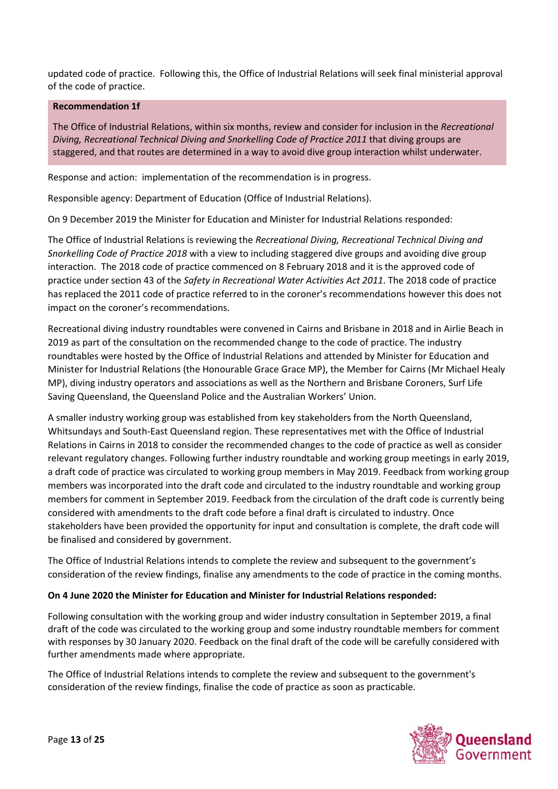updated code of practice. Following this, the Office of Industrial Relations will seek final ministerial approval of the code of practice.

#### **Recommendation 1f**

The Office of Industrial Relations, within six months, review and consider for inclusion in the *Recreational Diving, Recreational Technical Diving and Snorkelling Code of Practice 2011* that diving groups are staggered, and that routes are determined in a way to avoid dive group interaction whilst underwater.

Response and action: implementation of the recommendation is in progress.

Responsible agency: Department of Education (Office of Industrial Relations).

On 9 December 2019 the Minister for Education and Minister for Industrial Relations responded:

The Office of Industrial Relations is reviewing the *Recreational Diving, Recreational Technical Diving and Snorkelling Code of Practice 2018* with a view to including staggered dive groups and avoiding dive group interaction. The 2018 code of practice commenced on 8 February 2018 and it is the approved code of practice under section 43 of the *Safety in Recreational Water Activities Act 2011*. The 2018 code of practice has replaced the 2011 code of practice referred to in the coroner's recommendations however this does not impact on the coroner's recommendations.

Recreational diving industry roundtables were convened in Cairns and Brisbane in 2018 and in Airlie Beach in 2019 as part of the consultation on the recommended change to the code of practice. The industry roundtables were hosted by the Office of Industrial Relations and attended by Minister for Education and Minister for Industrial Relations (the Honourable Grace Grace MP), the Member for Cairns (Mr Michael Healy MP), diving industry operators and associations as well as the Northern and Brisbane Coroners, Surf Life Saving Queensland, the Queensland Police and the Australian Workers' Union.

A smaller industry working group was established from key stakeholders from the North Queensland, Whitsundays and South-East Queensland region. These representatives met with the Office of Industrial Relations in Cairns in 2018 to consider the recommended changes to the code of practice as well as consider relevant regulatory changes. Following further industry roundtable and working group meetings in early 2019, a draft code of practice was circulated to working group members in May 2019. Feedback from working group members was incorporated into the draft code and circulated to the industry roundtable and working group members for comment in September 2019. Feedback from the circulation of the draft code is currently being considered with amendments to the draft code before a final draft is circulated to industry. Once stakeholders have been provided the opportunity for input and consultation is complete, the draft code will be finalised and considered by government.

The Office of Industrial Relations intends to complete the review and subsequent to the government's consideration of the review findings, finalise any amendments to the code of practice in the coming months.

### **On 4 June 2020 the Minister for Education and Minister for Industrial Relations responded:**

Following consultation with the working group and wider industry consultation in September 2019, a final draft of the code was circulated to the working group and some industry roundtable members for comment with responses by 30 January 2020. Feedback on the final draft of the code will be carefully considered with further amendments made where appropriate.

The Office of Industrial Relations intends to complete the review and subsequent to the government's consideration of the review findings, finalise the code of practice as soon as practicable.

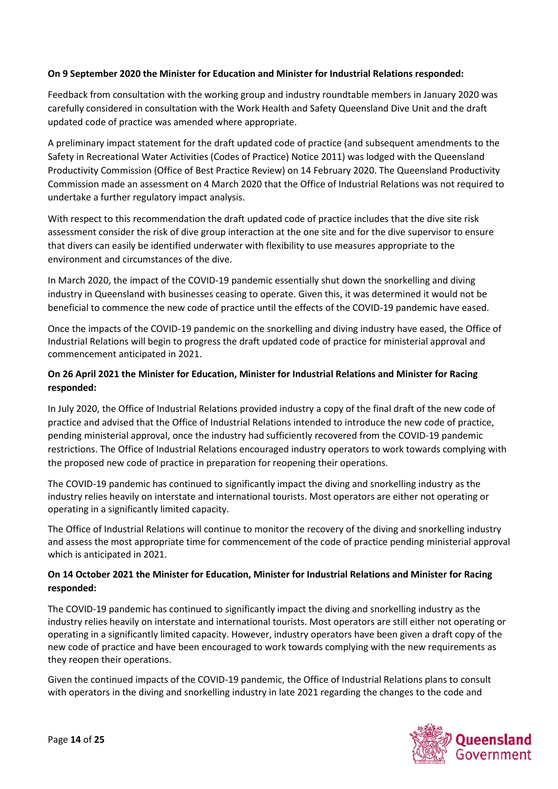### **On 9 September 2020 the Minister for Education and Minister for Industrial Relations responded:**

Feedback from consultation with the working group and industry roundtable members in January 2020 was carefully considered in consultation with the Work Health and Safety Queensland Dive Unit and the draft updated code of practice was amended where appropriate.

A preliminary impact statement for the draft updated code of practice (and subsequent amendments to the Safety in Recreational Water Activities (Codes of Practice) Notice 2011) was lodged with the Queensland Productivity Commission (Office of Best Practice Review) on 14 February 2020. The Queensland Productivity Commission made an assessment on 4 March 2020 that the Office of Industrial Relations was not required to undertake a further regulatory impact analysis.

With respect to this recommendation the draft updated code of practice includes that the dive site risk assessment consider the risk of dive group interaction at the one site and for the dive supervisor to ensure that divers can easily be identified underwater with flexibility to use measures appropriate to the environment and circumstances of the dive.

In March 2020, the impact of the COVID-19 pandemic essentially shut down the snorkelling and diving industry in Queensland with businesses ceasing to operate. Given this, it was determined it would not be beneficial to commence the new code of practice until the effects of the COVID-19 pandemic have eased.

Once the impacts of the COVID-19 pandemic on the snorkelling and diving industry have eased, the Office of Industrial Relations will begin to progress the draft updated code of practice for ministerial approval and commencement anticipated in 2021.

#### **On 26 April 2021 the Minister for Education, Minister for Industrial Relations and Minister for Racing responded:**

In July 2020, the Office of Industrial Relations provided industry a copy of the final draft of the new code of practice and advised that the Office of Industrial Relations intended to introduce the new code of practice, pending ministerial approval, once the industry had sufficiently recovered from the COVID-19 pandemic restrictions. The Office of Industrial Relations encouraged industry operators to work towards complying with the proposed new code of practice in preparation for reopening their operations.

The COVID-19 pandemic has continued to significantly impact the diving and snorkelling industry as the industry relies heavily on interstate and international tourists. Most operators are either not operating or operating in a significantly limited capacity.

The Office of Industrial Relations will continue to monitor the recovery of the diving and snorkelling industry and assess the most appropriate time for commencement of the code of practice pending ministerial approval which is anticipated in 2021.

## **On 14 October 2021 the Minister for Education, Minister for Industrial Relations and Minister for Racing responded:**

The COVID-19 pandemic has continued to significantly impact the diving and snorkelling industry as the industry relies heavily on interstate and international tourists. Most operators are still either not operating or operating in a significantly limited capacity. However, industry operators have been given a draft copy of the new code of practice and have been encouraged to work towards complying with the new requirements as they reopen their operations.

Given the continued impacts of the COVID-19 pandemic, the Office of Industrial Relations plans to consult with operators in the diving and snorkelling industry in late 2021 regarding the changes to the code and

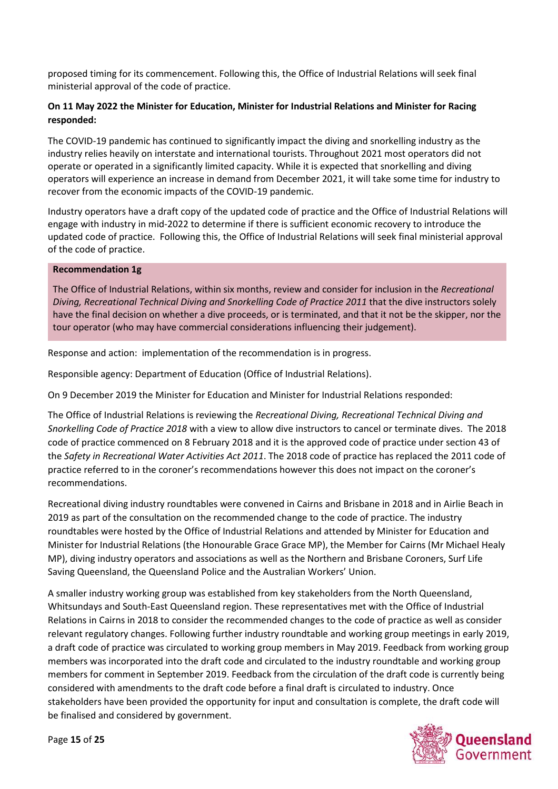proposed timing for its commencement. Following this, the Office of Industrial Relations will seek final ministerial approval of the code of practice.

### **On 11 May 2022 the Minister for Education, Minister for Industrial Relations and Minister for Racing responded:**

The COVID-19 pandemic has continued to significantly impact the diving and snorkelling industry as the industry relies heavily on interstate and international tourists. Throughout 2021 most operators did not operate or operated in a significantly limited capacity. While it is expected that snorkelling and diving operators will experience an increase in demand from December 2021, it will take some time for industry to recover from the economic impacts of the COVID-19 pandemic.

Industry operators have a draft copy of the updated code of practice and the Office of Industrial Relations will engage with industry in mid-2022 to determine if there is sufficient economic recovery to introduce the updated code of practice. Following this, the Office of Industrial Relations will seek final ministerial approval of the code of practice.

#### **Recommendation 1g**

The Office of Industrial Relations, within six months, review and consider for inclusion in the *Recreational Diving, Recreational Technical Diving and Snorkelling Code of Practice 2011* that the dive instructors solely have the final decision on whether a dive proceeds, or is terminated, and that it not be the skipper, nor the tour operator (who may have commercial considerations influencing their judgement).

Response and action: implementation of the recommendation is in progress.

Responsible agency: Department of Education (Office of Industrial Relations).

On 9 December 2019 the Minister for Education and Minister for Industrial Relations responded:

The Office of Industrial Relations is reviewing the *Recreational Diving, Recreational Technical Diving and Snorkelling Code of Practice 2018* with a view to allow dive instructors to cancel or terminate dives. The 2018 code of practice commenced on 8 February 2018 and it is the approved code of practice under section 43 of the *Safety in Recreational Water Activities Act 2011*. The 2018 code of practice has replaced the 2011 code of practice referred to in the coroner's recommendations however this does not impact on the coroner's recommendations.

Recreational diving industry roundtables were convened in Cairns and Brisbane in 2018 and in Airlie Beach in 2019 as part of the consultation on the recommended change to the code of practice. The industry roundtables were hosted by the Office of Industrial Relations and attended by Minister for Education and Minister for Industrial Relations (the Honourable Grace Grace MP), the Member for Cairns (Mr Michael Healy MP), diving industry operators and associations as well as the Northern and Brisbane Coroners, Surf Life Saving Queensland, the Queensland Police and the Australian Workers' Union.

A smaller industry working group was established from key stakeholders from the North Queensland, Whitsundays and South-East Queensland region. These representatives met with the Office of Industrial Relations in Cairns in 2018 to consider the recommended changes to the code of practice as well as consider relevant regulatory changes. Following further industry roundtable and working group meetings in early 2019, a draft code of practice was circulated to working group members in May 2019. Feedback from working group members was incorporated into the draft code and circulated to the industry roundtable and working group members for comment in September 2019. Feedback from the circulation of the draft code is currently being considered with amendments to the draft code before a final draft is circulated to industry. Once stakeholders have been provided the opportunity for input and consultation is complete, the draft code will be finalised and considered by government.

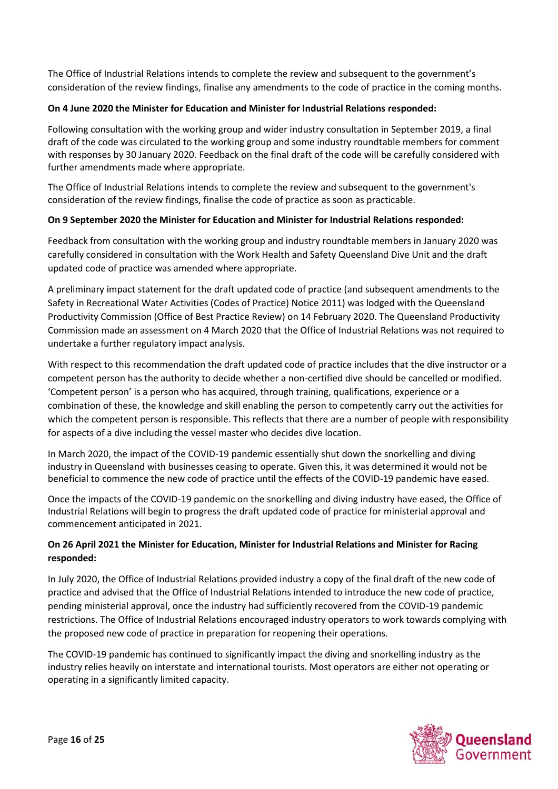The Office of Industrial Relations intends to complete the review and subsequent to the government's consideration of the review findings, finalise any amendments to the code of practice in the coming months.

## **On 4 June 2020 the Minister for Education and Minister for Industrial Relations responded:**

Following consultation with the working group and wider industry consultation in September 2019, a final draft of the code was circulated to the working group and some industry roundtable members for comment with responses by 30 January 2020. Feedback on the final draft of the code will be carefully considered with further amendments made where appropriate.

The Office of Industrial Relations intends to complete the review and subsequent to the government's consideration of the review findings, finalise the code of practice as soon as practicable.

### **On 9 September 2020 the Minister for Education and Minister for Industrial Relations responded:**

Feedback from consultation with the working group and industry roundtable members in January 2020 was carefully considered in consultation with the Work Health and Safety Queensland Dive Unit and the draft updated code of practice was amended where appropriate.

A preliminary impact statement for the draft updated code of practice (and subsequent amendments to the Safety in Recreational Water Activities (Codes of Practice) Notice 2011) was lodged with the Queensland Productivity Commission (Office of Best Practice Review) on 14 February 2020. The Queensland Productivity Commission made an assessment on 4 March 2020 that the Office of Industrial Relations was not required to undertake a further regulatory impact analysis.

With respect to this recommendation the draft updated code of practice includes that the dive instructor or a competent person has the authority to decide whether a non-certified dive should be cancelled or modified. 'Competent person' is a person who has acquired, through training, qualifications, experience or a combination of these, the knowledge and skill enabling the person to competently carry out the activities for which the competent person is responsible. This reflects that there are a number of people with responsibility for aspects of a dive including the vessel master who decides dive location.

In March 2020, the impact of the COVID-19 pandemic essentially shut down the snorkelling and diving industry in Queensland with businesses ceasing to operate. Given this, it was determined it would not be beneficial to commence the new code of practice until the effects of the COVID-19 pandemic have eased.

Once the impacts of the COVID-19 pandemic on the snorkelling and diving industry have eased, the Office of Industrial Relations will begin to progress the draft updated code of practice for ministerial approval and commencement anticipated in 2021.

# **On 26 April 2021 the Minister for Education, Minister for Industrial Relations and Minister for Racing responded:**

In July 2020, the Office of Industrial Relations provided industry a copy of the final draft of the new code of practice and advised that the Office of Industrial Relations intended to introduce the new code of practice, pending ministerial approval, once the industry had sufficiently recovered from the COVID-19 pandemic restrictions. The Office of Industrial Relations encouraged industry operators to work towards complying with the proposed new code of practice in preparation for reopening their operations.

The COVID-19 pandemic has continued to significantly impact the diving and snorkelling industry as the industry relies heavily on interstate and international tourists. Most operators are either not operating or operating in a significantly limited capacity.

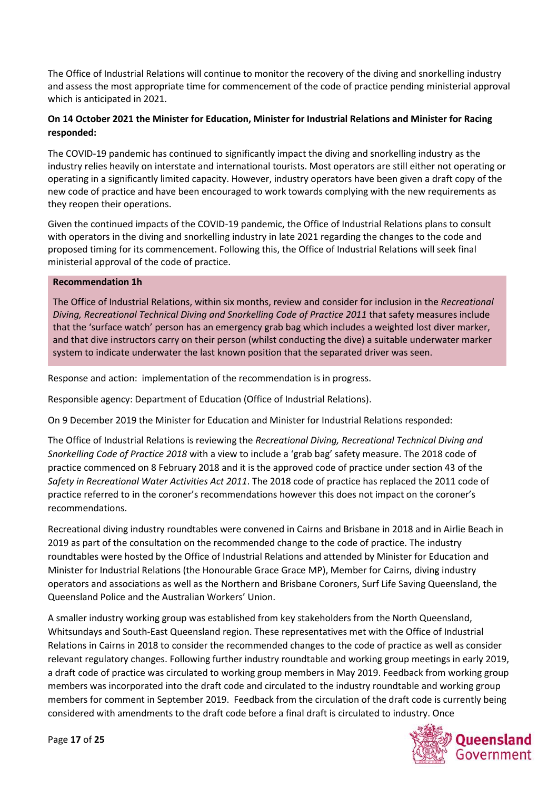The Office of Industrial Relations will continue to monitor the recovery of the diving and snorkelling industry and assess the most appropriate time for commencement of the code of practice pending ministerial approval which is anticipated in 2021.

## **On 14 October 2021 the Minister for Education, Minister for Industrial Relations and Minister for Racing responded:**

The COVID-19 pandemic has continued to significantly impact the diving and snorkelling industry as the industry relies heavily on interstate and international tourists. Most operators are still either not operating or operating in a significantly limited capacity. However, industry operators have been given a draft copy of the new code of practice and have been encouraged to work towards complying with the new requirements as they reopen their operations.

Given the continued impacts of the COVID-19 pandemic, the Office of Industrial Relations plans to consult with operators in the diving and snorkelling industry in late 2021 regarding the changes to the code and proposed timing for its commencement. Following this, the Office of Industrial Relations will seek final ministerial approval of the code of practice.

#### **Recommendation 1h**

The Office of Industrial Relations, within six months, review and consider for inclusion in the *Recreational Diving, Recreational Technical Diving and Snorkelling Code of Practice 2011* that safety measures include that the 'surface watch' person has an emergency grab bag which includes a weighted lost diver marker, and that dive instructors carry on their person (whilst conducting the dive) a suitable underwater marker system to indicate underwater the last known position that the separated driver was seen.

Response and action: implementation of the recommendation is in progress.

Responsible agency: Department of Education (Office of Industrial Relations).

On 9 December 2019 the Minister for Education and Minister for Industrial Relations responded:

The Office of Industrial Relations is reviewing the *Recreational Diving, Recreational Technical Diving and Snorkelling Code of Practice 2018* with a view to include a 'grab bag' safety measure. The 2018 code of practice commenced on 8 February 2018 and it is the approved code of practice under section 43 of the *Safety in Recreational Water Activities Act 2011*. The 2018 code of practice has replaced the 2011 code of practice referred to in the coroner's recommendations however this does not impact on the coroner's recommendations.

Recreational diving industry roundtables were convened in Cairns and Brisbane in 2018 and in Airlie Beach in 2019 as part of the consultation on the recommended change to the code of practice. The industry roundtables were hosted by the Office of Industrial Relations and attended by Minister for Education and Minister for Industrial Relations (the Honourable Grace Grace MP), Member for Cairns, diving industry operators and associations as well as the Northern and Brisbane Coroners, Surf Life Saving Queensland, the Queensland Police and the Australian Workers' Union.

A smaller industry working group was established from key stakeholders from the North Queensland, Whitsundays and South-East Queensland region. These representatives met with the Office of Industrial Relations in Cairns in 2018 to consider the recommended changes to the code of practice as well as consider relevant regulatory changes. Following further industry roundtable and working group meetings in early 2019, a draft code of practice was circulated to working group members in May 2019. Feedback from working group members was incorporated into the draft code and circulated to the industry roundtable and working group members for comment in September 2019. Feedback from the circulation of the draft code is currently being considered with amendments to the draft code before a final draft is circulated to industry. Once

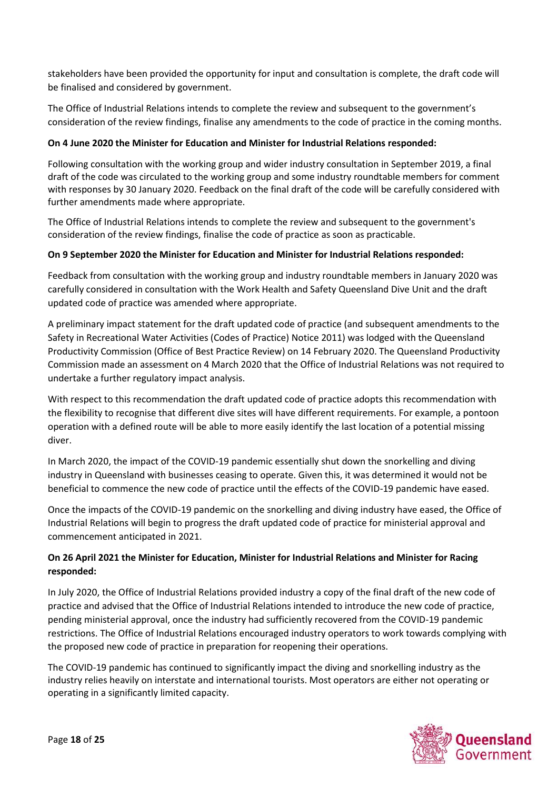stakeholders have been provided the opportunity for input and consultation is complete, the draft code will be finalised and considered by government.

The Office of Industrial Relations intends to complete the review and subsequent to the government's consideration of the review findings, finalise any amendments to the code of practice in the coming months.

### **On 4 June 2020 the Minister for Education and Minister for Industrial Relations responded:**

Following consultation with the working group and wider industry consultation in September 2019, a final draft of the code was circulated to the working group and some industry roundtable members for comment with responses by 30 January 2020. Feedback on the final draft of the code will be carefully considered with further amendments made where appropriate.

The Office of Industrial Relations intends to complete the review and subsequent to the government's consideration of the review findings, finalise the code of practice as soon as practicable.

### **On 9 September 2020 the Minister for Education and Minister for Industrial Relations responded:**

Feedback from consultation with the working group and industry roundtable members in January 2020 was carefully considered in consultation with the Work Health and Safety Queensland Dive Unit and the draft updated code of practice was amended where appropriate.

A preliminary impact statement for the draft updated code of practice (and subsequent amendments to the Safety in Recreational Water Activities (Codes of Practice) Notice 2011) was lodged with the Queensland Productivity Commission (Office of Best Practice Review) on 14 February 2020. The Queensland Productivity Commission made an assessment on 4 March 2020 that the Office of Industrial Relations was not required to undertake a further regulatory impact analysis.

With respect to this recommendation the draft updated code of practice adopts this recommendation with the flexibility to recognise that different dive sites will have different requirements. For example, a pontoon operation with a defined route will be able to more easily identify the last location of a potential missing diver.

In March 2020, the impact of the COVID-19 pandemic essentially shut down the snorkelling and diving industry in Queensland with businesses ceasing to operate. Given this, it was determined it would not be beneficial to commence the new code of practice until the effects of the COVID-19 pandemic have eased.

Once the impacts of the COVID-19 pandemic on the snorkelling and diving industry have eased, the Office of Industrial Relations will begin to progress the draft updated code of practice for ministerial approval and commencement anticipated in 2021.

## **On 26 April 2021 the Minister for Education, Minister for Industrial Relations and Minister for Racing responded:**

In July 2020, the Office of Industrial Relations provided industry a copy of the final draft of the new code of practice and advised that the Office of Industrial Relations intended to introduce the new code of practice, pending ministerial approval, once the industry had sufficiently recovered from the COVID-19 pandemic restrictions. The Office of Industrial Relations encouraged industry operators to work towards complying with the proposed new code of practice in preparation for reopening their operations.

The COVID-19 pandemic has continued to significantly impact the diving and snorkelling industry as the industry relies heavily on interstate and international tourists. Most operators are either not operating or operating in a significantly limited capacity.

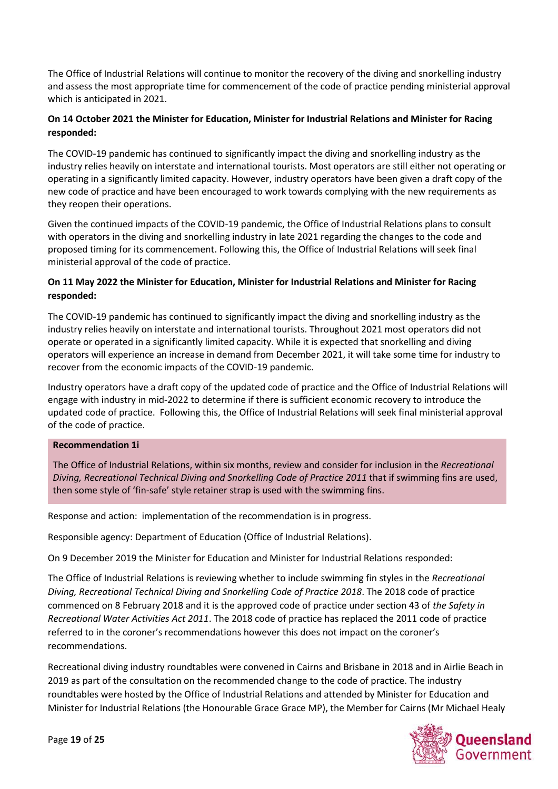The Office of Industrial Relations will continue to monitor the recovery of the diving and snorkelling industry and assess the most appropriate time for commencement of the code of practice pending ministerial approval which is anticipated in 2021.

## **On 14 October 2021 the Minister for Education, Minister for Industrial Relations and Minister for Racing responded:**

The COVID-19 pandemic has continued to significantly impact the diving and snorkelling industry as the industry relies heavily on interstate and international tourists. Most operators are still either not operating or operating in a significantly limited capacity. However, industry operators have been given a draft copy of the new code of practice and have been encouraged to work towards complying with the new requirements as they reopen their operations.

Given the continued impacts of the COVID-19 pandemic, the Office of Industrial Relations plans to consult with operators in the diving and snorkelling industry in late 2021 regarding the changes to the code and proposed timing for its commencement. Following this, the Office of Industrial Relations will seek final ministerial approval of the code of practice.

## **On 11 May 2022 the Minister for Education, Minister for Industrial Relations and Minister for Racing responded:**

The COVID-19 pandemic has continued to significantly impact the diving and snorkelling industry as the industry relies heavily on interstate and international tourists. Throughout 2021 most operators did not operate or operated in a significantly limited capacity. While it is expected that snorkelling and diving operators will experience an increase in demand from December 2021, it will take some time for industry to recover from the economic impacts of the COVID-19 pandemic.

Industry operators have a draft copy of the updated code of practice and the Office of Industrial Relations will engage with industry in mid-2022 to determine if there is sufficient economic recovery to introduce the updated code of practice. Following this, the Office of Industrial Relations will seek final ministerial approval of the code of practice.

#### **Recommendation 1i**

The Office of Industrial Relations, within six months, review and consider for inclusion in the *Recreational Diving, Recreational Technical Diving and Snorkelling Code of Practice 2011* that if swimming fins are used, then some style of 'fin-safe' style retainer strap is used with the swimming fins.

Response and action: implementation of the recommendation is in progress.

Responsible agency: Department of Education (Office of Industrial Relations).

On 9 December 2019 the Minister for Education and Minister for Industrial Relations responded:

The Office of Industrial Relations is reviewing whether to include swimming fin styles in the *Recreational Diving, Recreational Technical Diving and Snorkelling Code of Practice 2018*. The 2018 code of practice commenced on 8 February 2018 and it is the approved code of practice under section 43 of *the Safety in Recreational Water Activities Act 2011*. The 2018 code of practice has replaced the 2011 code of practice referred to in the coroner's recommendations however this does not impact on the coroner's recommendations.

Recreational diving industry roundtables were convened in Cairns and Brisbane in 2018 and in Airlie Beach in 2019 as part of the consultation on the recommended change to the code of practice. The industry roundtables were hosted by the Office of Industrial Relations and attended by Minister for Education and Minister for Industrial Relations (the Honourable Grace Grace MP), the Member for Cairns (Mr Michael Healy

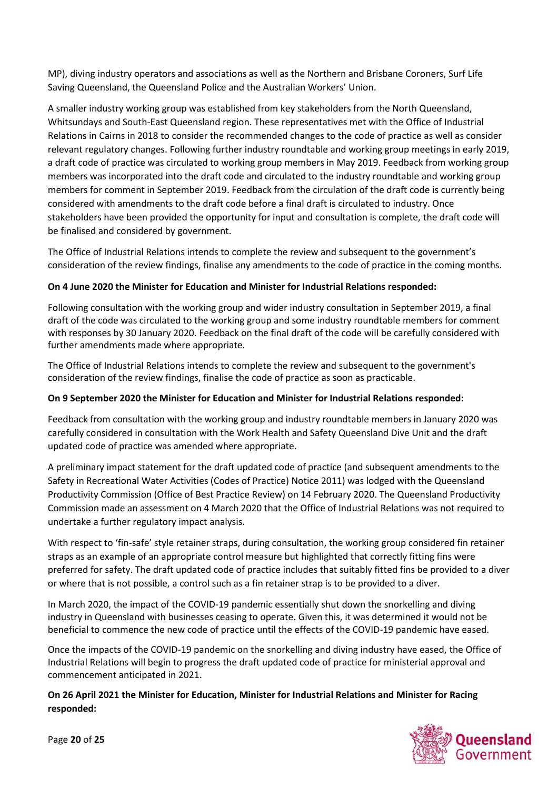MP), diving industry operators and associations as well as the Northern and Brisbane Coroners, Surf Life Saving Queensland, the Queensland Police and the Australian Workers' Union.

A smaller industry working group was established from key stakeholders from the North Queensland, Whitsundays and South-East Queensland region. These representatives met with the Office of Industrial Relations in Cairns in 2018 to consider the recommended changes to the code of practice as well as consider relevant regulatory changes. Following further industry roundtable and working group meetings in early 2019, a draft code of practice was circulated to working group members in May 2019. Feedback from working group members was incorporated into the draft code and circulated to the industry roundtable and working group members for comment in September 2019. Feedback from the circulation of the draft code is currently being considered with amendments to the draft code before a final draft is circulated to industry. Once stakeholders have been provided the opportunity for input and consultation is complete, the draft code will be finalised and considered by government.

The Office of Industrial Relations intends to complete the review and subsequent to the government's consideration of the review findings, finalise any amendments to the code of practice in the coming months.

## **On 4 June 2020 the Minister for Education and Minister for Industrial Relations responded:**

Following consultation with the working group and wider industry consultation in September 2019, a final draft of the code was circulated to the working group and some industry roundtable members for comment with responses by 30 January 2020. Feedback on the final draft of the code will be carefully considered with further amendments made where appropriate.

The Office of Industrial Relations intends to complete the review and subsequent to the government's consideration of the review findings, finalise the code of practice as soon as practicable.

### **On 9 September 2020 the Minister for Education and Minister for Industrial Relations responded:**

Feedback from consultation with the working group and industry roundtable members in January 2020 was carefully considered in consultation with the Work Health and Safety Queensland Dive Unit and the draft updated code of practice was amended where appropriate.

A preliminary impact statement for the draft updated code of practice (and subsequent amendments to the Safety in Recreational Water Activities (Codes of Practice) Notice 2011) was lodged with the Queensland Productivity Commission (Office of Best Practice Review) on 14 February 2020. The Queensland Productivity Commission made an assessment on 4 March 2020 that the Office of Industrial Relations was not required to undertake a further regulatory impact analysis.

With respect to 'fin-safe' style retainer straps, during consultation, the working group considered fin retainer straps as an example of an appropriate control measure but highlighted that correctly fitting fins were preferred for safety. The draft updated code of practice includes that suitably fitted fins be provided to a diver or where that is not possible, a control such as a fin retainer strap is to be provided to a diver.

In March 2020, the impact of the COVID-19 pandemic essentially shut down the snorkelling and diving industry in Queensland with businesses ceasing to operate. Given this, it was determined it would not be beneficial to commence the new code of practice until the effects of the COVID-19 pandemic have eased.

Once the impacts of the COVID-19 pandemic on the snorkelling and diving industry have eased, the Office of Industrial Relations will begin to progress the draft updated code of practice for ministerial approval and commencement anticipated in 2021.

### **On 26 April 2021 the Minister for Education, Minister for Industrial Relations and Minister for Racing responded:**

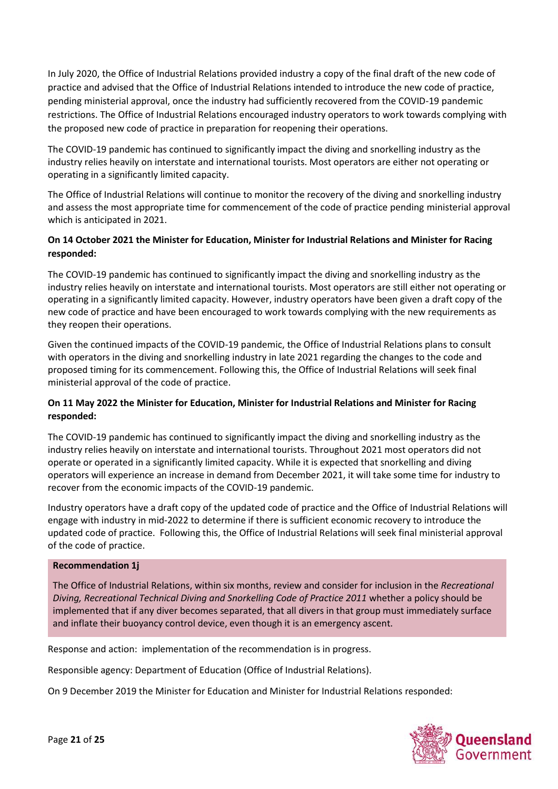In July 2020, the Office of Industrial Relations provided industry a copy of the final draft of the new code of practice and advised that the Office of Industrial Relations intended to introduce the new code of practice, pending ministerial approval, once the industry had sufficiently recovered from the COVID-19 pandemic restrictions. The Office of Industrial Relations encouraged industry operators to work towards complying with the proposed new code of practice in preparation for reopening their operations.

The COVID-19 pandemic has continued to significantly impact the diving and snorkelling industry as the industry relies heavily on interstate and international tourists. Most operators are either not operating or operating in a significantly limited capacity.

The Office of Industrial Relations will continue to monitor the recovery of the diving and snorkelling industry and assess the most appropriate time for commencement of the code of practice pending ministerial approval which is anticipated in 2021.

## **On 14 October 2021 the Minister for Education, Minister for Industrial Relations and Minister for Racing responded:**

The COVID-19 pandemic has continued to significantly impact the diving and snorkelling industry as the industry relies heavily on interstate and international tourists. Most operators are still either not operating or operating in a significantly limited capacity. However, industry operators have been given a draft copy of the new code of practice and have been encouraged to work towards complying with the new requirements as they reopen their operations.

Given the continued impacts of the COVID-19 pandemic, the Office of Industrial Relations plans to consult with operators in the diving and snorkelling industry in late 2021 regarding the changes to the code and proposed timing for its commencement. Following this, the Office of Industrial Relations will seek final ministerial approval of the code of practice.

### **On 11 May 2022 the Minister for Education, Minister for Industrial Relations and Minister for Racing responded:**

The COVID-19 pandemic has continued to significantly impact the diving and snorkelling industry as the industry relies heavily on interstate and international tourists. Throughout 2021 most operators did not operate or operated in a significantly limited capacity. While it is expected that snorkelling and diving operators will experience an increase in demand from December 2021, it will take some time for industry to recover from the economic impacts of the COVID-19 pandemic.

Industry operators have a draft copy of the updated code of practice and the Office of Industrial Relations will engage with industry in mid-2022 to determine if there is sufficient economic recovery to introduce the updated code of practice. Following this, the Office of Industrial Relations will seek final ministerial approval of the code of practice.

### **Recommendation 1j**

The Office of Industrial Relations, within six months, review and consider for inclusion in the *Recreational Diving, Recreational Technical Diving and Snorkelling Code of Practice 2011* whether a policy should be implemented that if any diver becomes separated, that all divers in that group must immediately surface and inflate their buoyancy control device, even though it is an emergency ascent.

Response and action: implementation of the recommendation is in progress.

Responsible agency: Department of Education (Office of Industrial Relations).

On 9 December 2019 the Minister for Education and Minister for Industrial Relations responded:

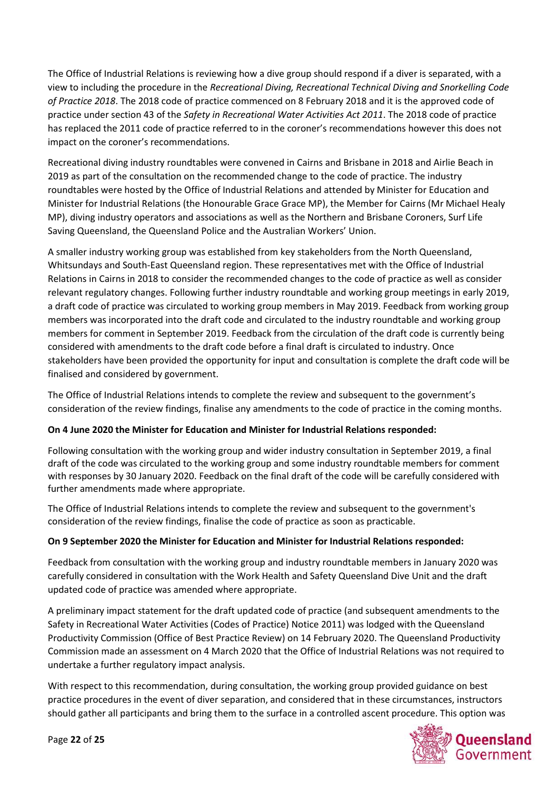The Office of Industrial Relations is reviewing how a dive group should respond if a diver is separated, with a view to including the procedure in the *Recreational Diving, Recreational Technical Diving and Snorkelling Code of Practice 2018*. The 2018 code of practice commenced on 8 February 2018 and it is the approved code of practice under section 43 of the *Safety in Recreational Water Activities Act 2011*. The 2018 code of practice has replaced the 2011 code of practice referred to in the coroner's recommendations however this does not impact on the coroner's recommendations.

Recreational diving industry roundtables were convened in Cairns and Brisbane in 2018 and Airlie Beach in 2019 as part of the consultation on the recommended change to the code of practice. The industry roundtables were hosted by the Office of Industrial Relations and attended by Minister for Education and Minister for Industrial Relations (the Honourable Grace Grace MP), the Member for Cairns (Mr Michael Healy MP), diving industry operators and associations as well as the Northern and Brisbane Coroners, Surf Life Saving Queensland, the Queensland Police and the Australian Workers' Union.

A smaller industry working group was established from key stakeholders from the North Queensland, Whitsundays and South-East Queensland region. These representatives met with the Office of Industrial Relations in Cairns in 2018 to consider the recommended changes to the code of practice as well as consider relevant regulatory changes. Following further industry roundtable and working group meetings in early 2019, a draft code of practice was circulated to working group members in May 2019. Feedback from working group members was incorporated into the draft code and circulated to the industry roundtable and working group members for comment in September 2019. Feedback from the circulation of the draft code is currently being considered with amendments to the draft code before a final draft is circulated to industry. Once stakeholders have been provided the opportunity for input and consultation is complete the draft code will be finalised and considered by government.

The Office of Industrial Relations intends to complete the review and subsequent to the government's consideration of the review findings, finalise any amendments to the code of practice in the coming months.

### **On 4 June 2020 the Minister for Education and Minister for Industrial Relations responded:**

Following consultation with the working group and wider industry consultation in September 2019, a final draft of the code was circulated to the working group and some industry roundtable members for comment with responses by 30 January 2020. Feedback on the final draft of the code will be carefully considered with further amendments made where appropriate.

The Office of Industrial Relations intends to complete the review and subsequent to the government's consideration of the review findings, finalise the code of practice as soon as practicable.

### **On 9 September 2020 the Minister for Education and Minister for Industrial Relations responded:**

Feedback from consultation with the working group and industry roundtable members in January 2020 was carefully considered in consultation with the Work Health and Safety Queensland Dive Unit and the draft updated code of practice was amended where appropriate.

A preliminary impact statement for the draft updated code of practice (and subsequent amendments to the Safety in Recreational Water Activities (Codes of Practice) Notice 2011) was lodged with the Queensland Productivity Commission (Office of Best Practice Review) on 14 February 2020. The Queensland Productivity Commission made an assessment on 4 March 2020 that the Office of Industrial Relations was not required to undertake a further regulatory impact analysis.

With respect to this recommendation, during consultation, the working group provided guidance on best practice procedures in the event of diver separation, and considered that in these circumstances, instructors should gather all participants and bring them to the surface in a controlled ascent procedure. This option was

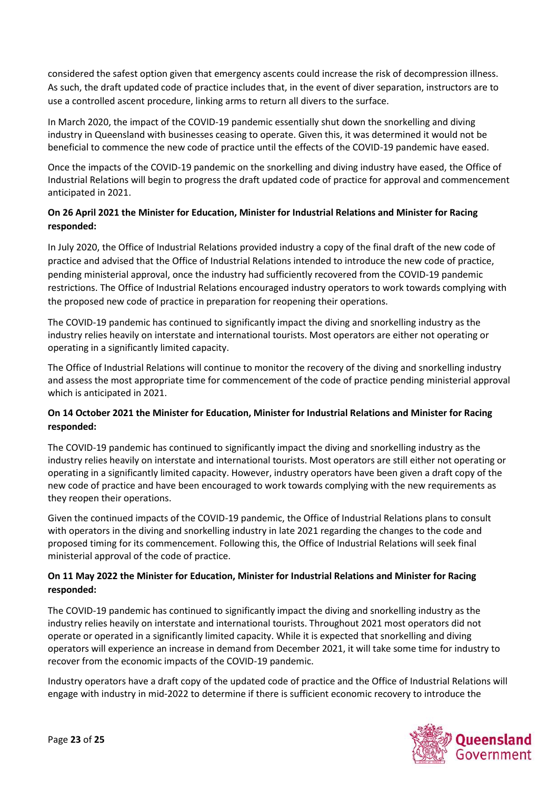considered the safest option given that emergency ascents could increase the risk of decompression illness. As such, the draft updated code of practice includes that, in the event of diver separation, instructors are to use a controlled ascent procedure, linking arms to return all divers to the surface.

In March 2020, the impact of the COVID-19 pandemic essentially shut down the snorkelling and diving industry in Queensland with businesses ceasing to operate. Given this, it was determined it would not be beneficial to commence the new code of practice until the effects of the COVID-19 pandemic have eased.

Once the impacts of the COVID-19 pandemic on the snorkelling and diving industry have eased, the Office of Industrial Relations will begin to progress the draft updated code of practice for approval and commencement anticipated in 2021.

# **On 26 April 2021 the Minister for Education, Minister for Industrial Relations and Minister for Racing responded:**

In July 2020, the Office of Industrial Relations provided industry a copy of the final draft of the new code of practice and advised that the Office of Industrial Relations intended to introduce the new code of practice, pending ministerial approval, once the industry had sufficiently recovered from the COVID-19 pandemic restrictions. The Office of Industrial Relations encouraged industry operators to work towards complying with the proposed new code of practice in preparation for reopening their operations.

The COVID-19 pandemic has continued to significantly impact the diving and snorkelling industry as the industry relies heavily on interstate and international tourists. Most operators are either not operating or operating in a significantly limited capacity.

The Office of Industrial Relations will continue to monitor the recovery of the diving and snorkelling industry and assess the most appropriate time for commencement of the code of practice pending ministerial approval which is anticipated in 2021.

## **On 14 October 2021 the Minister for Education, Minister for Industrial Relations and Minister for Racing responded:**

The COVID-19 pandemic has continued to significantly impact the diving and snorkelling industry as the industry relies heavily on interstate and international tourists. Most operators are still either not operating or operating in a significantly limited capacity. However, industry operators have been given a draft copy of the new code of practice and have been encouraged to work towards complying with the new requirements as they reopen their operations.

Given the continued impacts of the COVID-19 pandemic, the Office of Industrial Relations plans to consult with operators in the diving and snorkelling industry in late 2021 regarding the changes to the code and proposed timing for its commencement. Following this, the Office of Industrial Relations will seek final ministerial approval of the code of practice.

## **On 11 May 2022 the Minister for Education, Minister for Industrial Relations and Minister for Racing responded:**

The COVID-19 pandemic has continued to significantly impact the diving and snorkelling industry as the industry relies heavily on interstate and international tourists. Throughout 2021 most operators did not operate or operated in a significantly limited capacity. While it is expected that snorkelling and diving operators will experience an increase in demand from December 2021, it will take some time for industry to recover from the economic impacts of the COVID-19 pandemic.

Industry operators have a draft copy of the updated code of practice and the Office of Industrial Relations will engage with industry in mid-2022 to determine if there is sufficient economic recovery to introduce the

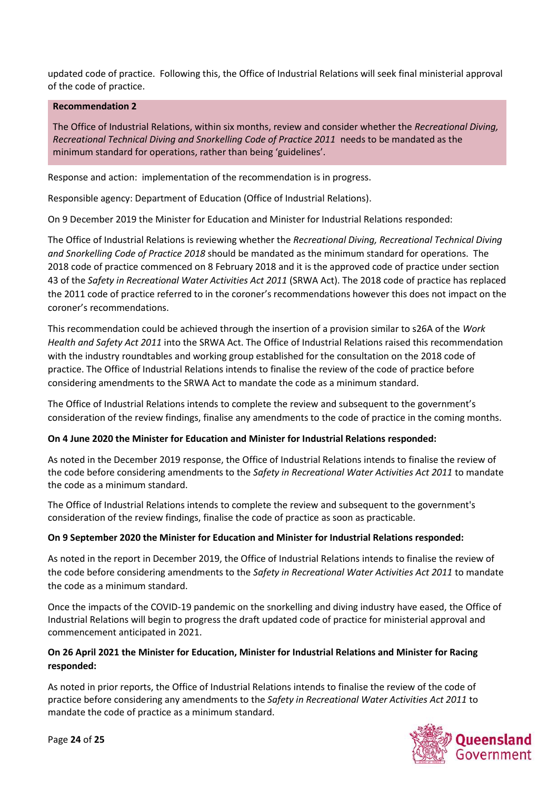updated code of practice. Following this, the Office of Industrial Relations will seek final ministerial approval of the code of practice.

#### **Recommendation 2**

The Office of Industrial Relations, within six months, review and consider whether the *Recreational Diving, Recreational Technical Diving and Snorkelling Code of Practice 2011* needs to be mandated as the minimum standard for operations, rather than being 'guidelines'.

Response and action: implementation of the recommendation is in progress.

Responsible agency: Department of Education (Office of Industrial Relations).

On 9 December 2019 the Minister for Education and Minister for Industrial Relations responded:

The Office of Industrial Relations is reviewing whether the *Recreational Diving, Recreational Technical Diving and Snorkelling Code of Practice 2018* should be mandated as the minimum standard for operations. The 2018 code of practice commenced on 8 February 2018 and it is the approved code of practice under section 43 of the *Safety in Recreational Water Activities Act 2011* (SRWA Act). The 2018 code of practice has replaced the 2011 code of practice referred to in the coroner's recommendations however this does not impact on the coroner's recommendations.

This recommendation could be achieved through the insertion of a provision similar to s26A of the *Work Health and Safety Act 2011* into the SRWA Act. The Office of Industrial Relations raised this recommendation with the industry roundtables and working group established for the consultation on the 2018 code of practice. The Office of Industrial Relations intends to finalise the review of the code of practice before considering amendments to the SRWA Act to mandate the code as a minimum standard.

The Office of Industrial Relations intends to complete the review and subsequent to the government's consideration of the review findings, finalise any amendments to the code of practice in the coming months.

### **On 4 June 2020 the Minister for Education and Minister for Industrial Relations responded:**

As noted in the December 2019 response, the Office of Industrial Relations intends to finalise the review of the code before considering amendments to the *Safety in Recreational Water Activities Act 2011* to mandate the code as a minimum standard.

The Office of Industrial Relations intends to complete the review and subsequent to the government's consideration of the review findings, finalise the code of practice as soon as practicable.

### **On 9 September 2020 the Minister for Education and Minister for Industrial Relations responded:**

As noted in the report in December 2019, the Office of Industrial Relations intends to finalise the review of the code before considering amendments to the *Safety in Recreational Water Activities Act 2011* to mandate the code as a minimum standard.

Once the impacts of the COVID-19 pandemic on the snorkelling and diving industry have eased, the Office of Industrial Relations will begin to progress the draft updated code of practice for ministerial approval and commencement anticipated in 2021.

## **On 26 April 2021 the Minister for Education, Minister for Industrial Relations and Minister for Racing responded:**

As noted in prior reports, the Office of Industrial Relations intends to finalise the review of the code of practice before considering any amendments to the *Safety in Recreational Water Activities Act 2011* to mandate the code of practice as a minimum standard.